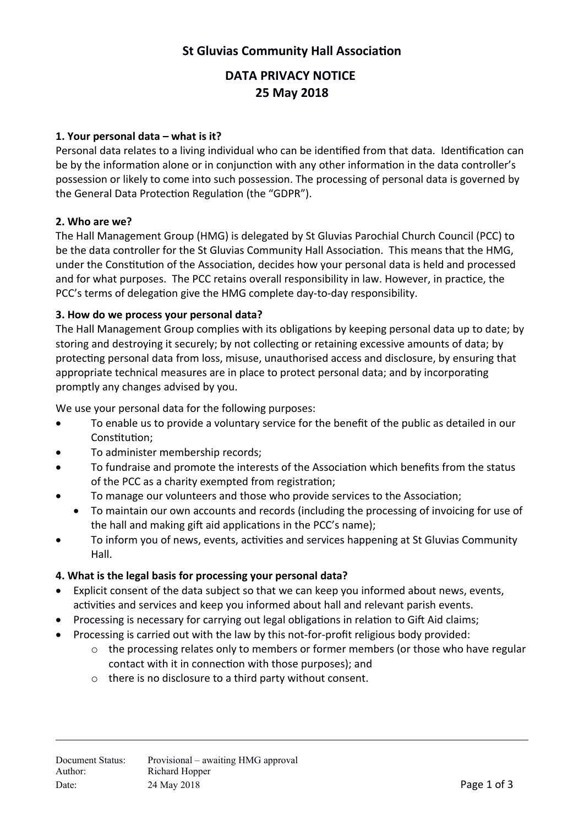# **St Gluvias Community Hall Associaton**

# **DATA PRIVACY NOTICE 25 May 2018**

#### **1. Your personal data – what is it?**

Personal data relates to a living individual who can be identified from that data. Identification can be by the information alone or in conjunction with any other information in the data controller's possession or likely to come into such possession. The processing of personal data is governed by the General Data Protection Regulation (the "GDPR").

#### **2. Who are we?**

The Hall Management Group (HMG) is delegated by St Gluvias Parochial Church Council (PCC) to be the data controller for the St Gluvias Community Hall Associaton. This means that the HMG, under the Constitution of the Association, decides how your personal data is held and processed and for what purposes. The PCC retains overall responsibility in law. However, in practice, the PCC's terms of delegation give the HMG complete day-to-day responsibility.

#### **3. How do we process your personal data?**

The Hall Management Group complies with its obligatons by keeping personal data up to date; by storing and destroying it securely; by not collecting or retaining excessive amounts of data; by protecting personal data from loss, misuse, unauthorised access and disclosure, by ensuring that appropriate technical measures are in place to protect personal data; and by incorporating promptly any changes advised by you.

We use your personal data for the following purposes:

- To enable us to provide a voluntary service for the benefit of the public as detailed in our Constitution:
- To administer membership records;
- To fundraise and promote the interests of the Association which benefits from the status of the PCC as a charity exempted from registration;
- To manage our volunteers and those who provide services to the Associaton;
- To maintain our own accounts and records (including the processing of invoicing for use of the hall and making gift aid applications in the PCC's name);
- To inform you of news, events, activities and services happening at St Gluvias Community Hall.

#### **4. What is the legal basis for processing your personal data?**

- Explicit consent of the data subject so that we can keep you informed about news, events, activities and services and keep you informed about hall and relevant parish events.
- Processing is necessary for carrying out legal obligations in relation to Gift Aid claims;
- Processing is carried out with the law by this not-for-profit religious body provided:
	- $\circ$  the processing relates only to members or former members (or those who have regular contact with it in connection with those purposes); and
	- o there is no disclosure to a third party without consent.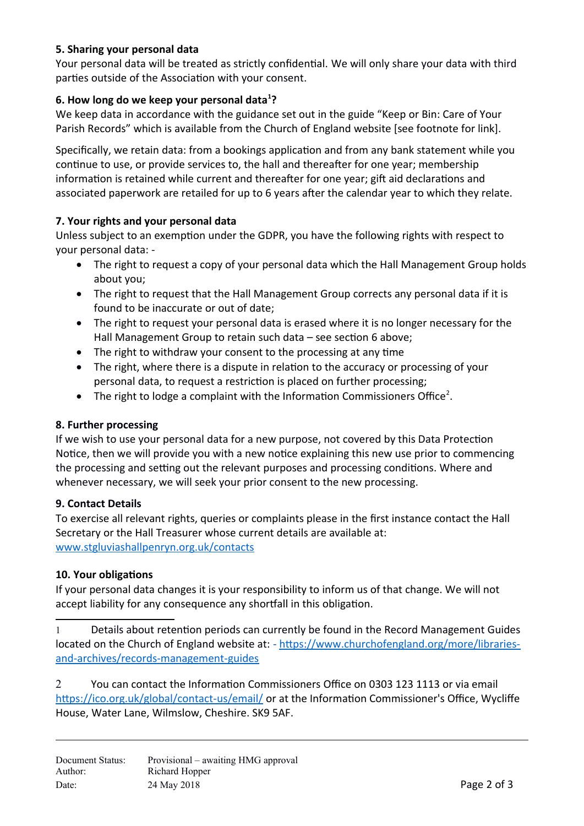## **5. Sharing your personal data**

Your personal data will be treated as strictly confidential. We will only share your data with third parties outside of the Association with your consent.

## **6. How long do we keep your personal data[1](#page-1-0) ?**

We keep data in accordance with the guidance set out in the guide "Keep or Bin: Care of Your Parish Records" which is available from the Church of England website [see footnote for link].

Specifically, we retain data: from a bookings application and from any bank statement while you contnue to use, or provide services to, the hall and thereafer for one year; membership information is retained while current and thereafter for one year; gift aid declarations and associated paperwork are retailed for up to 6 years after the calendar year to which they relate.

## **7. Your rights and your personal data**

Unless subject to an exemption under the GDPR, you have the following rights with respect to your personal data: -

- The right to request a copy of your personal data which the Hall Management Group holds about you;
- The right to request that the Hall Management Group corrects any personal data if it is found to be inaccurate or out of date;
- The right to request your personal data is erased where it is no longer necessary for the Hall Management Group to retain such data - see section 6 above;
- The right to withdraw your consent to the processing at any time
- The right, where there is a dispute in relation to the accuracy or processing of your personal data, to request a restriction is placed on further processing;
- The right to lodge a complaint with the Information Commissioners Office<sup>[2](#page-1-1)</sup>.

#### **8. Further processing**

If we wish to use your personal data for a new purpose, not covered by this Data Protecton Notice, then we will provide you with a new notice explaining this new use prior to commencing the processing and setting out the relevant purposes and processing conditions. Where and whenever necessary, we will seek your prior consent to the new processing.

#### **9. Contact Details**

To exercise all relevant rights, queries or complaints please in the first instance contact the Hall Secretary or the Hall Treasurer whose current details are available at: [www.stgluviashallpenryn.org.uk/contacts](http://www.stgluviashallpenryn.org.uk/contacts)

## **10. Your obligatons**

If your personal data changes it is your responsibility to inform us of that change. We will not accept liability for any consequence any shortfall in this obligation.

<span id="page-1-0"></span>1 Details about retenton periods can currently be found in the ecord Management Guides located on the Church of England website at: - [https://www.churchofengland.org/more/libraries](https://www.churchofengland.org/more/libraries-and-archives/records-management-guides)[and-archives/records-management-guides](https://www.churchofengland.org/more/libraries-and-archives/records-management-guides)

<span id="page-1-1"></span> $2$  You can contact the Information Commissioners Office on 0303 123 1113 or via email <https://ico.org.uk/global/contact-us/email/>or at the Information Commissioner's Office, Wycliffe House, Water Lane, Wilmslow, Cheshire. SK9 5AF.